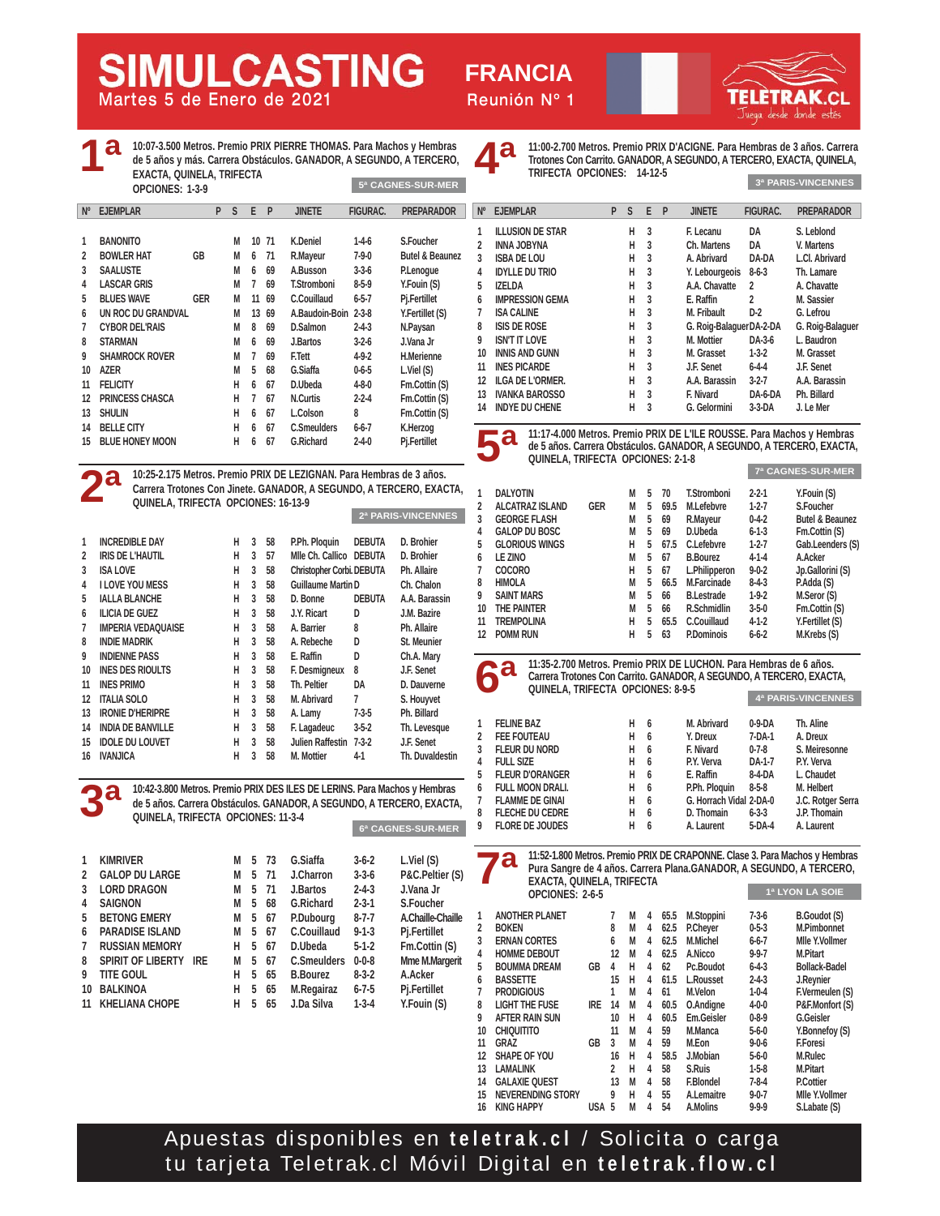**Martes 5 de Enero de 2021 Reunión Nº 1**

**FRANCIA**

| 4 а                | EXACTA, QUINELA, TRIFECTA<br>OPCIONES: 1-3-9 |         |         |               |          | 10:07-3.500 Metros. Premio PRIX PIERRE THOMAS. Para Machos y Hembras<br>de 5 años y más. Carrera Obstáculos. GANADOR, A SEGUNDO, A TERCERO,<br>5ª CAGNES-SUR-MER |             | <b>Ad</b>       | 11:00-2.700 Metros. Premio PRIX D'ACIGNE. Para Hembras de 3 años. Carrer<br>Trotones Con Carrito. GANADOR, A SEGUNDO, A TERCERO, EXACTA, QUINELA<br>TRIFECTA OPCIONES: 14-12-5 |                      |       |                          |                 | 3ª PARIS-VINCENNES       |
|--------------------|----------------------------------------------|---------|---------|---------------|----------|------------------------------------------------------------------------------------------------------------------------------------------------------------------|-------------|-----------------|--------------------------------------------------------------------------------------------------------------------------------------------------------------------------------|----------------------|-------|--------------------------|-----------------|--------------------------|
| <b>V° EJEMPLAR</b> |                                              | P S E P |         | <b>JINETE</b> | FIGURAC. | <b>PREPARADOR</b>                                                                                                                                                | $N^{\circ}$ | <b>EJEMPLAR</b> |                                                                                                                                                                                |                      | P S F | <b>JINETE</b>            | <b>FIGURAC.</b> | <b>PREPARADOR</b>        |
| <b>BANONITO</b>    |                                              |         | M 10 71 | K Deniel      | 1-4-6    | S. Foucher                                                                                                                                                       |             | INNA JOBYNA     | ILLUSION DE STAR                                                                                                                                                               | H <sub>3</sub><br>H. |       | E. Lecanu<br>Ch. Martens | DA<br>DA        | S. Leblond<br>V. Martens |

| 1  | <b>BANONITO</b>        |            | M | 10 | 71 | K.Deniel             | $1-4-6$     | S.Foucher           |
|----|------------------------|------------|---|----|----|----------------------|-------------|---------------------|
| 2  | <b>BOWLER HAT</b>      | GB         | М | 6  | 71 | R.Mayeur             | $7-9-0$     | Butel & Beaunez     |
| 3  | <b>SAALUSTE</b>        |            | М | 6  | 69 | A.Busson             | $3 - 3 - 6$ | P.Lenogue           |
| 4  | <b>LASCAR GRIS</b>     |            | М | 7  | 69 | <b>T.Stromboni</b>   | $8-5-9$     | Y.Fouin (S)         |
| 5  | <b>BLUES WAVE</b>      | <b>GER</b> | М | 11 | 69 | C.Couillaud          | $6 - 5 - 7$ | Pj.Fertillet        |
| 6  | UN ROC DU GRANDVAL     |            | М | 13 | 69 | A.Baudoin-Boin 2-3-8 |             | Y.Fertillet (S)     |
| 7  | <b>CYBOR DEL'RAIS</b>  |            | М | 8  | 69 | D.Salmon             | $2 - 4 - 3$ | N.Paysan            |
| 8  | <b>STARMAN</b>         |            | М | 6  | 69 | J.Bartos             | $3-2-6$     | J.Vana Jr           |
| 9  | <b>SHAMROCK ROVER</b>  |            | М | 7  | 69 | F.Tett               | $4-9-2$     | H.Merienne          |
| 10 | AZER                   |            | М | 5  | 68 | G.Siaffa             | $0 - 6 - 5$ | $L.V$ iel $(S)$     |
| 11 | <b>FELICITY</b>        |            | н | 6  | 67 | D.Ubeda              | $4 - 8 - 0$ | Fm.Cottin (S)       |
| 12 | PRINCESS CHASCA        |            | н | 7  | 67 | <b>N.Curtis</b>      | $2 - 2 - 4$ | Fm.Cottin (S)       |
| 13 | <b>SHULIN</b>          |            | н | 6  | 67 | L.Colson             | 8           | Fm.Cottin (S)       |
| 14 | <b>BELLE CITY</b>      |            | н | 6  | 67 | <b>C.Smeulders</b>   | $6 - 6 - 7$ | K.Herzog            |
| 15 | <b>BLUE HONEY MOON</b> |            | н | 6  | 67 | G.Richard            | $2 - 4 - 0$ | <b>Pj.Fertillet</b> |

**MULCASTING** 



**3ª**

**1ª**

**10:25-2.175 Metros. Premio PRIX DE LEZIGNAN. Para Hembras de 3 años. Carrera Trotones Con Jinete. GANADOR, A SEGUNDO, A TERCERO, EXACTA, QUINELA, TRIFECTA OPCIONES: 16-13-9 2ª PARIS-VINCENNES**

| 1             | <b>INCREDIBLE DAY</b>     | н | 3 | 58 | P.Ph. Ploquin             | <b>DEBUTA</b> | D. Brohier      |
|---------------|---------------------------|---|---|----|---------------------------|---------------|-----------------|
| $\mathfrak z$ | <b>IRIS DE L'HAUTIL</b>   | н | 3 | 57 | Mile Ch. Callico DEBUTA   |               | D. Brohier      |
| 3             | <b>ISA LOVE</b>           | н | 3 | 58 | Christopher Corbi. DEBUTA |               | Ph. Allaire     |
| 4             | <b>I LOVE YOU MESS</b>    | н | 3 | 58 | <b>Guillaume Martin D</b> |               | Ch. Chalon      |
| 5             | <b>IALLA BLANCHE</b>      | н | 3 | 58 | D. Bonne                  | <b>DEBUTA</b> | A.A. Barassin   |
| 6             | <b>ILICIA DE GUEZ</b>     | н | 3 | 58 | J.Y. Ricart               | D             | J.M. Bazire     |
| 7             | <b>IMPERIA VEDAOUAISE</b> | н | 3 | 58 | A. Barrier                | 8             | Ph. Allaire     |
| 8             | <b>INDIE MADRIK</b>       | н | 3 | 58 | A. Rebeche                | D             | St. Meunier     |
| 9             | <b>INDIENNE PASS</b>      | н | 3 | 58 | E. Raffin                 | D             | Ch.A. Mary      |
| 10            | <b>INES DES RIOULTS</b>   | н | 3 | 58 | F. Desmigneux             | 8             | J.F. Senet      |
| 11            | <b>INES PRIMO</b>         | н | 3 | 58 | Th. Peltier               | DA            | D. Dauverne     |
| 12            | <b>ITALIA SOLO</b>        | н | 3 | 58 | M. Abrivard               | 7             | S. Houyvet      |
| 13            | <b>IRONIE D'HERIPRE</b>   | н | 3 | 58 | A. Lamy                   | $7-3-5$       | Ph. Billard     |
| 14            | <b>INDIA DE BANVILLE</b>  | н | 3 | 58 | F. Lagadeuc               | $3 - 5 - 2$   | Th. Levesque    |
| 15            | <b>IDOLE DU LOUVET</b>    | н | 3 | 58 | Julien Raffestin 7-3-2    |               | J.F. Senet      |
| 16            | <b>IVANJICA</b>           | н | 3 | 58 | M. Mottier                | $4-1$         | Th. Duvaldestin |
|               |                           |   |   |    |                           |               |                 |

**10:42-3.800 Metros. Premio PRIX DES ILES DE LERINS. Para Machos y Hembras de 5 años. Carrera Obstáculos. GANADOR, A SEGUNDO, A TERCERO, EXACTA, QUINELA, TRIFECTA OPCIONES: 11-3-4**

| 1              | <b>KIMRIVER</b>          |            | м | 5  | - 73 | G.Siaffa         | $3 - 6 - 2$ | L.Viel (S)       |
|----------------|--------------------------|------------|---|----|------|------------------|-------------|------------------|
| $\mathbf{2}$   | <b>GALOP DU LARGE</b>    |            | М |    | 5 71 | J.Charron        | $3 - 3 - 6$ | P&C.Pelti        |
| 3              | <b>LORD DRAGON</b>       |            | М |    | 5 71 | J.Bartos         | $2 - 4 - 3$ | J.Vana Jr        |
| 4              | <b>SAIGNON</b>           |            | М | 5  | 68   | <b>G.Richard</b> | $2 - 3 - 1$ | S.Fouche         |
| 5              | <b>BETONG EMERY</b>      |            | М | 5  | -67  | P.Dubourg        | 8-7-7       | A.Chaille-       |
| 6              | <b>PARADISE ISLAND</b>   |            | М | 5. | - 67 | C.Couillaud      | $9 - 1 - 3$ | Pj.Fertille      |
| $\overline{7}$ | <b>RUSSIAN MEMORY</b>    |            | н | 5  | -67  | D.Ubeda          | $5 - 1 - 2$ | <b>Fm.Cottir</b> |
| 8              | <b>SPIRIT OF LIBERTY</b> | <b>IRE</b> | М | 5  | - 67 | C.Smeulders      | $0 - 0 - 8$ | Mme M.Ma         |
| 9              | <b>TITE GOUL</b>         |            | н | 5  | 65   | <b>B.Bourez</b>  | $8 - 3 - 2$ | A.Acker          |
| 10             | <b>BALKINOA</b>          |            | н | 5  | 65   | M.Regairaz       | 6-7-5       | Pj.Fertille      |
|                | 11 KHELIANA CHOPE        |            | н | 5  | 65   | J.Da Silva       | 1-3-4       | Y.Fouin (        |
|                |                          |            |   |    |      |                  |             |                  |



| $\overline{7}$  | <b>ISA CALINE</b>    |                                   | н | 3  | M. Fribault                                                                                                                                     | $D-2$       | G. Lefrou                          |
|-----------------|----------------------|-----------------------------------|---|----|-------------------------------------------------------------------------------------------------------------------------------------------------|-------------|------------------------------------|
| 8               | <b>ISIS DE ROSE</b>  |                                   | н | 3  | G. Roig-Balaguer DA-2-DA                                                                                                                        |             | G. Roig-Balaguer                   |
| 9               | <b>ISN'T IT LOVE</b> |                                   | н | 3  | M. Mottier                                                                                                                                      | DA-3-6      | L. Baudron                         |
| 10 <sup>°</sup> |                      | <b>INNIS AND GUNN</b>             | н | -3 | M. Grasset                                                                                                                                      | $1 - 3 - 2$ | M. Grasset                         |
| 11              | <b>INES PICARDE</b>  |                                   | н | -3 | J.F. Senet                                                                                                                                      | $6 - 4 - 4$ | J.F. Senet                         |
| $12 \,$         |                      | <b>ILGA DE L'ORMER.</b>           | н | -3 | A.A. Barassin                                                                                                                                   | $3 - 2 - 7$ | A.A. Barassin                      |
| 13              |                      | <b>IVANKA BAROSSO</b>             | н | 3  | F. Nivard                                                                                                                                       | DA-6-DA     | Ph. Billard                        |
|                 |                      | 14 INDYE DU CHENE                 | н | -3 | G. Gelormini                                                                                                                                    | $3-3-DA$    | J. Le Mer                          |
|                 | <b>5a</b>            | QUINELA, TRIFECTA OPCIONES: 2-1-8 |   |    | 11:17-4.000 Metros. Premio PRIX DE L'ILE ROUSSE. Para Machos y Hembras<br>de 5 años. Carrera Obstáculos. GANADOR, A SEGUNDO, A TERCERO, EXACTA, |             |                                    |
|                 |                      |                                   |   |    |                                                                                                                                                 |             | $-2$ $-1$ $-1$ $-2$ $-1$ $-1$ $-2$ |

|                        |            |   |   |      |                    |             | <b><i>I</i></b> CAGNES-SUR-MER                                     |
|------------------------|------------|---|---|------|--------------------|-------------|--------------------------------------------------------------------|
| <b>DALYOTIN</b>        |            | М | 5 | 70   | <b>T.Stromboni</b> | $2 - 2 - 1$ | Y.Fouin (S)                                                        |
| <b>ALCATRAZ ISLAND</b> | <b>GER</b> | М | 5 | 69.5 | M.Lefebvre         | $1-2-7$     | S.Foucher                                                          |
| <b>GEORGE FLASH</b>    |            | М | 5 | 69   | R.Mayeur           | $0 - 4 - 2$ | <b>Butel &amp; Beaunez</b>                                         |
| <b>GALOP DU BOSC</b>   |            | М | 5 | 69   | D.Ubeda            | $6 - 1 - 3$ | Fm.Cottin (S)                                                      |
| <b>GLORIOUS WINGS</b>  |            | н | 5 | 67.5 | C.Lefebvre         | $1-2-7$     | Gab.Leenders (S)                                                   |
| LE ZINO                |            | М | 5 | 67   | <b>B.Bourez</b>    | $4-1-4$     | A.Acker                                                            |
| <b>COCORO</b>          |            | н | 5 | 67   | L.Philipperon      | $9 - 0 - 2$ | Jp.Gallorini (S)                                                   |
| <b>HIMOLA</b>          |            | М | 5 | 66.5 | M.Farcinade        | $8-4-3$     | P.Adda (S)                                                         |
| <b>SAINT MARS</b>      |            | М | 5 | 66   | <b>B.Lestrade</b>  | $1-9-2$     | M.Seror (S)                                                        |
| THE PAINTER            |            | М | 5 | 66   | R.Schmidlin        | $3 - 5 - 0$ | Fm.Cottin (S)                                                      |
| TREMPOLINA             |            | н | 5 | 65.5 | C.Couillaud        | $4-1-2$     | Y.Fertillet (S)                                                    |
| <b>POMM RUN</b>        |            | н | 5 | 63   | <b>P.Dominois</b>  | $6 - 6 - 2$ | M.Krebs (S)                                                        |
|                        |            |   |   |      |                    |             |                                                                    |
|                        |            |   |   |      |                    |             |                                                                    |
|                        |            |   |   |      |                    |             | 11:35-2.700 Metros, Premio PRIX DE LUCHON, Para Hembras de 6 años. |



**Carrera Trotones Con Carrito. GANADOR, A SEGUNDO, A TERCERO, EXACTA, QUINELA, TRIFECTA OPCIONES: 8-9-5 4ª PARIS-VINCENNES**

| 1 | <b>FELINE BAZ</b>       | н | 6  | M. Abrivard             | $0-9-DA$    | Th. Aline         |
|---|-------------------------|---|----|-------------------------|-------------|-------------------|
| 2 | <b>FEE FOUTEAU</b>      | н | 6  | Y. Dreux                | 7-DA-1      | A. Dreux          |
| 3 | <b>FLEUR DU NORD</b>    | н | 6  | F. Nivard               | $0 - 7 - 8$ | S. Meiresonne     |
| 4 | <b>FULL SIZE</b>        | н | 6  | P.Y. Verva              | DA-1-7      | P.Y. Verva        |
| 5 | <b>FLEUR D'ORANGER</b>  | н | 6  | E. Raffin               | 8-4-DA      | L. Chaudet        |
| 6 | <b>FULL MOON DRALI.</b> | н | 6  | P.Ph. Ploquin           | $8 - 5 - 8$ | M. Helbert        |
| 7 | <b>FLAMME DE GINAI</b>  | н | -6 | G. Horrach Vidal 2-DA-0 |             | J.C. Rotger Serra |
| 8 | <b>FLECHE DU CEDRE</b>  | н | 6  | D. Thomain              | $6 - 3 - 3$ | J.P. Thomain      |
| 9 | <b>FLORE DE JOUDES</b>  | н | 6  | A. Laurent              | 5-DA-4      | A. Laurent        |
|   |                         |   |    |                         |             |                   |

**1. Viel (S)** 

**2 B**.C.Peltier (S)

**5.Foucher**  $A$ .Chaille-Chaille **Pj.Fertillet**  $Fm.Cottin (S)$ **Mme M.Margerit** 

**6ª CAGNES-SUR-MER**

**Pj.Fertillet Y.Fouin (S)** 

|    | $\overline{\phantom{a}}$<br>EXACTA, QUINELA, TRIFECTA<br>OPCIONES: 2-6-5 |            |    |   |   |      |                  |             | 11:52-1.800 Metros. Premio PRIX DE CRAPONNE. Clase 3. Para Machos y Hembras<br>Pura Sangre de 4 años. Carrera Plana.GANADOR, A SEGUNDO, A TERCERO,<br>1ª LYON LA SOIE |
|----|--------------------------------------------------------------------------|------------|----|---|---|------|------------------|-------------|-----------------------------------------------------------------------------------------------------------------------------------------------------------------------|
| 1  | <b>ANOTHER PLANET</b>                                                    |            | 7  | M | 4 | 65.5 | M.Stoppini       | $7-3-6$     | <b>B.Goudot (S)</b>                                                                                                                                                   |
| 2  | <b>BOKEN</b>                                                             |            | 8  | M | 4 | 62.5 | P.Cheyer         | $0 - 5 - 3$ | M.Pimbonnet                                                                                                                                                           |
| 3  | <b>ERNAN CORTES</b>                                                      |            | 6  | м | 4 | 62.5 | M.Michel         | $6 - 6 - 7$ | Mile Y.Vollmer                                                                                                                                                        |
| 4  | <b>HOMME DEBOUT</b>                                                      |            | 12 | M | 4 | 62.5 | A.Nicco          | $9 - 9 - 7$ | <b>M.Pitart</b>                                                                                                                                                       |
| 5  | <b>BOUMMA DREAM</b>                                                      | GB         | 4  | н | 4 | 62   | Pc.Boudot        | $6 - 4 - 3$ | <b>Bollack-Badel</b>                                                                                                                                                  |
| 6  | <b>BASSETTE</b>                                                          |            | 15 | н | 4 | 61.5 | L.Rousset        | $2 - 4 - 3$ | J.Reynier                                                                                                                                                             |
| 7  | <b>PRODIGIOUS</b>                                                        |            | 1  | M | 4 | 61   | M.Velon          | $1 - 0 - 4$ | F.Vermeulen (S)                                                                                                                                                       |
| 8  | <b>LIGHT THE FUSE</b>                                                    | <b>IRE</b> | 14 | M | 4 | 60.5 | O.Andigne        | $4 - 0 - 0$ | P&F.Monfort (S)                                                                                                                                                       |
| 9  | AFTER RAIN SUN                                                           |            | 10 | н | 4 | 60.5 | Em.Geisler       | $0 - 8 - 9$ | <b>G.Geisler</b>                                                                                                                                                      |
| 10 | <b>CHIQUITITO</b>                                                        |            | 11 | M | 4 | 59   | M.Manca          | $5-6-0$     | Y.Bonnefoy (S)                                                                                                                                                        |
| 11 | GRAZ                                                                     | GB         | 3  | M | 4 | 59   | M.Eon            | $9 - 0 - 6$ | <b>F.Foresi</b>                                                                                                                                                       |
| 12 | <b>SHAPE OF YOU</b>                                                      |            | 16 | н | 4 | 58.5 | J.Mobian         | $5-6-0$     | M.Rulec                                                                                                                                                               |
| 13 | <b>LAMALINK</b>                                                          |            | 2  | н | 4 | 58   | S.Ruis           | $1-5-8$     | <b>M.Pitart</b>                                                                                                                                                       |
| 14 | <b>GALAXIE OUEST</b>                                                     |            | 13 | M | 4 | 58   | <b>F.Blondel</b> | $7-8-4$     | <b>P.Cottier</b>                                                                                                                                                      |
| 15 | <b>NEVERENDING STORY</b>                                                 |            | 9  | н | 4 | 55   | A.Lemaitre       | $9 - 0 - 7$ | Mile Y.Vollmer                                                                                                                                                        |
| 16 | <b>KING HAPPY</b>                                                        | USA        | 5  | М | 4 | 54   | A.Molins         | $9-9-9$     | S.Labate (S)                                                                                                                                                          |

Apuestas disponibles en **teletrak.cl** / Solicita o carga tu tarjeta Teletrak.cl Móvil Digital en **teletrak.flow.cl**